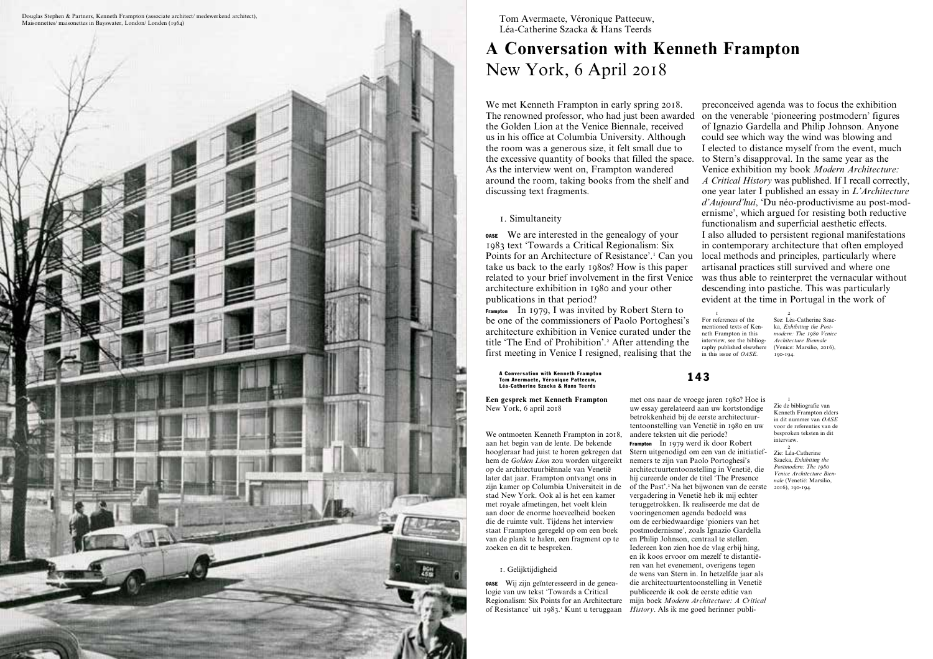

Tom Avermaete, Véronique Patteeuw, Léa-Catherine Szacka & Hans Teerds

# **A Conversation with Kenneth Frampton** New York, 6 April 2018

We met Kenneth Frampton in early spring 2018. The renowned professor, who had just been awarded the Golden Lion at the Venice Biennale, received us in his office at Columbia University. Although the room was a generous size, it felt small due to the excessive quantity of books that filled the space. As the interview went on, Frampton wandered around the room, taking books from the shelf and discussing text fragments.

# 1. Simultaneity

OASE We are interested in the genealogy of your 1983 text 'Towards a Critical Regionalism: Six Points for an Architecture of Resistance'.<sup>1</sup> Can you take us back to the early 1980s? How is this paper related to your brief involvement in the first Venice architecture exhibition in 1980 and your other publications in that period?

Frampton In 1979, I was invited by Robert Stern to be one of the commissioners of Paolo Portoghesi's architecture exhibition in Venice curated under the title 'The End of Prohibition'. 2 After attending the first meeting in Venice I resigned, realising that the

143 A Conversation with Kenneth Frampton Tom Avermaete, Véronique Patteeuw, Léa-Catherine Szacka & Hans Teerds

**Een gesprek met Kenneth Frampton** New York, 6 april 2018

We ontmoeten Kenneth Frampton in 2018, aan het begin van de lente. De bekende hoogleraar had juist te horen gekregen dat hem de *Golden Lion* zou worden uitgereikt op de architectuurbiënnale van Venetië later dat jaar. Frampton ontvangt ons in zijn kamer op Columbia Universiteit in de stad New York. Ook al is het een kamer met royale afmetingen, het voelt klein aan door de enorme hoeveelheid boeken die de ruimte vult. Tijdens het interview staat Frampton geregeld op om een boek van de plank te halen, een fragment op te zoeken en dit te bespreken.

# 1. Gelijktijdigheid

OASE Wij zijn geïnteresseerd in de genea logie van uw tekst 'Towards a Critical Regionalism: Six Points for an Architecture of Resistance' uit 1983. 1 Kunt u teruggaan

preconceived agenda was to focus the exhibition on the venerable 'pioneering postmodern' figures of Ignazio Gardella and Philip Johnson. Anyone could see which way the wind was blowing and I elected to distance myself from the event, much to Stern's disapproval. In the same year as the Venice exhibition my book *Modern Architecture: A Critical History* was published. If I recall correctly, one year later I published an essay in *L'Architecture d'Aujourd'hui*, 'Du néo-productivisme au post-mod ernisme', which argued for resisting both reductive functionalism and superficial aesthetic effects. I also alluded to persistent regional manifestations in contemporary architecture that often employed local methods and principles, particularly where artisanal practices still survived and where one was thus able to reinterpret the vernacular without descending into pastiche. This was particularly evident at the time in Portugal in the work of

For references of the mentioned texts of Ken neth Frampton in this interview, see the bibliog raphy published elsewhere in this issue of *OASE* . 2 See: Léa-Catherine Szac - 190-194.

ka, *Exhibiting the Post modern: The 1980 Venice Architecture Biennale*  (Venice: Marsilio, 2016),

1 Zie de bibliografie van Kenneth Frampton elders in dit nummer van *OASE* voor de referenties van de besproken teksten in dit interview.

2 Zie: Léa-Catherine Szacka, *Exhibiting the Postmodern: The 1980 Venice Architecture Bien nale* (Venetië: Marsilio, 2016), 190-194.

mijn boek *Modern Architecture: A Critical History*. Als ik me goed herinner publi -

met ons naar de vroege jaren 1980? Hoe is uw essay gerelateerd aan uw kortstondige betrokkenheid bij de eerste architectuur tentoonstelling van Venetië in 1980 en uw

 $\;$  I

andere teksten uit die periode? Frampton In 1979 werd ik door Robert Stern uitgenodigd om een van de initiatiefnemers te zijn van Paolo Portoghesi's architectuurtentoonstelling in Venetië, die hij cureerde onder de titel 'The Presence of the Past'.2 Na het bijwonen van de eerste vergadering in Venetië heb ik mij echter teruggetrokken. Ik realiseerde me dat de vooringenomen agenda bedoeld was om de eerbiedwaardige 'pioniers van het postmodernisme', zoals Ignazio Gardella en Philip Johnson, centraal te stellen. Iedereen kon zien hoe de vlag erbij hing, en ik koos ervoor om mezelf te distantië ren van het evenement, overigens tegen de wens van Stern in. In hetzelfde jaar als die architectuurtentoonstelling in Venetië publiceerde ik ook de eerste editie van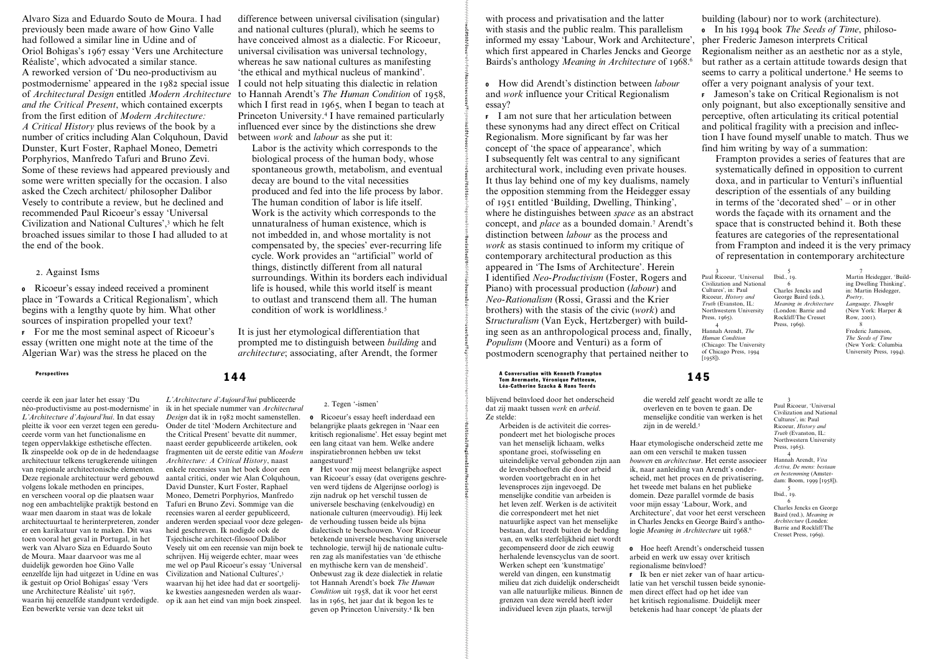Alvaro Siza and Eduardo Souto de Moura. I had previously been made aware of how Gino Valle had followed a similar line in Udine and of Oriol Bohigas's 1967 essay 'Vers une Architecture Réaliste', which advocated a similar stance. A reworked version of 'Du neo-productivism au postmodernisme' appeared in the 1982 special issue of *Architectural Design* entitled *Modern Architecture and the Critical Present*, which contained excerpts from the first edition of *Modern Architecture: A Critical History* plus reviews of the book by a number of critics including Alan Colquhoun, David Dunster, Kurt Foster, Raphael Moneo, Demetri Porphyrios, Manfredo Tafuri and Bruno Zevi. Some of these reviews had appeared previously and some were written specially for the occasion. I also asked the Czech architect/ philosopher Dalibor Vesely to contribute a review, but he declined and recommended Paul Ricoeur's essay 'Universal Civilization and National Cultures',3 which he felt broached issues similar to those I had alluded to at the end of the book.

# 2. Against Isms

<sup>O</sup> Ricoeur's essay indeed received a prominent place in 'Towards a Critical Regionalism', which begins with a lengthy quote by him. What other sources of inspiration propelled your text? <sup>F</sup> For me the most seminal aspect of Ricoeur's essay (written one might note at the time of the Algerian War) was the stress he placed on the

ceerde ik een jaar later het essay 'Du *L'Architecture d'Aujourd'hui*. In dat essay pleitte ik voor een verzet tegen een gereduceerde vorm van het functionalisme en tegen oppervlakkige esthetische effecten. Ik zinspeelde ook op de in de hedendaagse architectuur telkens terugkerende uitingen van regionale architectonische elementen. Deze regionale architectuur werd gebouwd volgens lokale methoden en principes, en verscheen vooral op die plaatsen waar nog een ambachtelijke praktijk bestond en waar men daarom in staat was de lokale architectuurtaal te herinterpreteren, zonder er een karikatuur van te maken. Dit was toen vooral het geval in Portugal, in het werk van Alvaro Siza en Eduardo Souto de Moura. Maar daarvoor was me al duidelijk geworden hoe Gino Valle eenzelfde lijn had uitgezet in Udine en was ik gestuit op Oriol Bohigas' essay 'Vers une Architecture Réaliste' uit 1967, waarin hij eenzelfde standpunt verdedigde. op ik aan het eind van mijn boek zinspeel. Een bewerkte versie van deze tekst uit

universal civilisation was universal technology, whereas he saw national cultures as manifesting 'the ethical and mythical nucleus of mankind'. I could not help situating this dialectic in relation to Hannah Arendt's *The Human Condition* of 1958, which I first read in 1965, when I began to teach at Princeton University.4 I have remained particularly influenced ever since by the distinctions she drew between *work* and *labour* as she put it: Labor is the activity which corresponds to the

difference between universal civilisation (singular) and national cultures (plural), which he seems to have conceived almost as a dialectic. For Ricoeur,

biological process of the human body, whose spontaneous growth, metabolism, and eventual decay are bound to the vital necessities produced and fed into the life process by labor. The human condition of labor is life itself. Work is the activity which corresponds to the unnaturalness of human existence, which is not imbedded in, and whose mortality is not compensated by, the species' ever-recurring life cycle. Work provides an "artificial" world of things, distinctly different from all natural surroundings. Within its borders each individual life is housed, while this world itself is meant to outlast and transcend them all. The human condition of work is worldliness.5

It is just her etymological differentiation that prompted me to distinguish between *building* and *architecture*; associating, after Arendt, the former

néo-productivisme au post-modernisme' in ik in het speciale nummer van *Architectural L'Architecture d'Aujourd'hui* publiceerde *Design* dat ik in 1982 mocht samenstellen. Onder de titel 'Modern Architecture and the Critical Present' bevatte dit nummer, naast eerder gepubliceerde artikelen, ook fragmenten uit de eerste editie van *Modern Architecture: A Critical History*, naast enkele recensies van het boek door een aantal critici, onder wie Alan Colquhoun, David Dunster, Kurt Foster, Raphael Moneo, Demetri Porphyrios, Manfredo Tafuri en Bruno Zevi. Sommige van die recensies waren al eerder gepubliceerd, anderen werden speciaal voor deze gelegenheid geschreven. Ik nodigde ook de Tsjechische architect-filosoof Dalibor Vesely uit om een recensie van mijn boek te schrijven. Hij weigerde echter, maar wees me wel op Paul Ricoeur's essay 'Universal Civilization and National Cultures',3 waarvan hij het idee had dat er soortgelijke kwesties aangesneden werden als waar-

### 2. Tegen '-ismen'

O Ricoeur's essay heeft inderdaad een belangrijke plaats gekregen in 'Naar een kritisch regionalisme'. Het essay begint met een lang citaat van hem. Welke andere inspiratiebronnen hebben uw tekst aangestuurd?

F Het voor mij meest belangrijke aspect van Ricoeur's essay (dat overigens geschreven werd tijdens de Algerijnse oorlog) is zijn nadruk op het verschil tussen de universele beschaving (enkelvoudig) en nationale culturen (meervoudig). Hij leek de verhouding tussen beide als bijna dialectisch te beschouwen. Voor Ricoeur betekende universele beschaving universele technologie, terwijl hij de nationale culturen zag als manifestaties van 'de ethische en mythische kern van de mensheid'. Onbewust zag ik deze dialectiek in relatie tot Hannah Arendt's boek *The Human Condition* uit 1958, dat ik voor het eerst las in 1965, het jaar dat ik begon les te geven op Princeton University.4 Ik ben

with process and privatisation and the latter with stasis and the public realm. This parallelism informed my essay 'Labour, Work and Architecture', which first appeared in Charles Jencks and George Bairds's anthology *Meaning in Architecture* of 1968.6

<sup>O</sup> How did Arendt's distinction between *labour* and *work* influence your Critical Regionalism essay?

<sup>F</sup> I am not sure that her articulation between these synonyms had any direct effect on Critical Regionalism. More significant by far was her concept of 'the space of appearance', which I subsequently felt was central to any significant architectural work, including even private houses. It thus lay behind one of my key dualisms, namely the opposition stemming from the Heidegger essay of 1951 entitled 'Building, Dwelling, Thinking', where he distinguishes between *space* as an abstract concept, and *place* as a bounded domain.7 Arendt's distinction between *labour* as the process and *work* as stasis continued to inform my critique of contemporary architectural production as this appeared in 'The Isms of Architecture'. Herein I identified *Neo-Productivism* (Foster, Rogers and Piano) with processual production (*labour*) and *Neo-Rationalism* (Rossi, Grassi and the Krier brothers) with the stasis of the civic (*work*) and S*tructuralism* (Van Eyck, Hertzberger) with building seen as an anthropological process and, finally, *Populism* (Moore and Venturi) as a form of postmodern scenography that pertained neither to

Perspectives and the conversation with Kenneth Frampton the Series of the conversation with Kenneth Frampton and the conversation with Kenneth Frampton and the conversation with Kenneth Frampton and the conversation of  ${\$ Tom Avermaete, Véronique Patteeuw, Léa-Catherine Szacka & Hans Teerds

> blijvend beïnvloed door het onderscheid dat zij maakt tussen *werk* en *arbeid*. Ze stelde:

Arbeiden is de activiteit die correspondeert met het biologische proces van het menselijk lichaam, welks spontane groei, stofwisseling en uiteindelijke verval gebonden zijn aan de levensbehoeften die door arbeid worden voortgebracht en in het levensproces zijn ingevoegd. De menselijke conditie van arbeiden is het leven zelf. Werken is de activiteit die correspondeert met het niet natuurlijke aspect van het menselijke bestaan, dat treedt buiten de bedding van, en welks sterfelijkheid niet wordt gecompenseerd door de zich eeuwig herhalende levenscyclus van de soort. Werken schept een 'kunstmatige' wereld van dingen, een kunstmatig milieu dat zich duidelijk onderscheidt van alle natuurlijke milieus. Binnen de grenzen van deze wereld heeft ieder individueel leven zijn plaats, terwijl

building (labour) nor to work (architecture).

<sup>O</sup> In his 1994 book *The Seeds of Time*, philosopher Frederic Jameson interprets Critical Regionalism neither as an aesthetic nor as a style, but rather as a certain attitude towards design that seems to carry a political undertone.<sup>8</sup> He seems to offer a very poignant analysis of your text.

<sup>F</sup> Jameson's take on Critical Regionalism is not only poignant, but also exceptionally sensitive and perceptive, often articulating its critical potential and political fragility with a precision and inflection I have found myself unable to match. Thus we find him writing by way of a summation:

Frampton provides a series of features that are systematically defined in opposition to current doxa, and in particular to Venturi's influential description of the essentials of any building in terms of the 'decorated shed' – or in other words the façade with its ornament and the space that is constructed behind it. Both these features are categories of the representational from Frampton and indeed it is the very primacy of representation in contemporary architecture

3 Paul Ricoeur, 'Universal Civilization and National Cultures', in: Paul Ricoeur, *History and Truth* (Evanston, IL: Northwestern University Press, 1965). 4 Hannah Arendt, *The Human Condition* (Chicago: The University of Chicago Press, 1994 5 Ibid., 19. 6 Charles Jencks and George Baird (eds.), *Meaning in Architecture* (London: Barrie and Rockliff/The Cresset Press, 1969).

 $[1958]$ .

zijn in de wereld.<sup>5</sup>

die wereld zelf geacht wordt ze alle te overleven en te boven te gaan. De menselijke conditie van werken is het 3 Paul Ricoeur, 'Universal Civilization and National Cultures', in: Paul Ricoeur, *History and Truth* (Evanston, IL: Northwestern University

> 4 Hannah Arendt, *Vita Activa, De mens: bestaan*

6 Charles Jencks en George

Barrie and Rockliff/The

5

Haar etymologische onderscheid zette me aan om een verschil te maken tussen *bouwen* en *architectuur*. Het eerste associeer ik, naar aanleiding van Arendt's onderscheid, met het proces en de privatisering, het tweede met balans en het publieke domein. Deze parallel vormde de basis voor mijn essay 'Labour, Work, and Architecture', dat voor het eerst verscheen in Charles Jencks en George Baird's anthologie *Meaning in Architecture* uit 1968.<sup>6</sup> Press, 1965). *en bestemming* (Amsterdam: Boom, 1999 [1958]). Ibid., 19. Baird (red.), *Meaning in Architecture* (Londen: Cresset Press, 1969).

O Hoe heeft Arendt's onderscheid tussen arbeid en werk uw essay over kritisch regionalisme beïnvloed?

F Ik ben er niet zeker van of haar articulatie van het verschil tussen beide synoniemen direct effect had op het idee van het kritisch regionalisme. Duidelijk meer betekenis had haar concept 'de plaats der

7 Martin Heidegger, 'Building Dwelling Thinking', in: Martin Heidegger, *Poetry, Language, Thought* (New York: Harper & Row, 2001). 8 Frederic Jameson, *The Seeds of Time* (New York: Columbia University Press, 1994).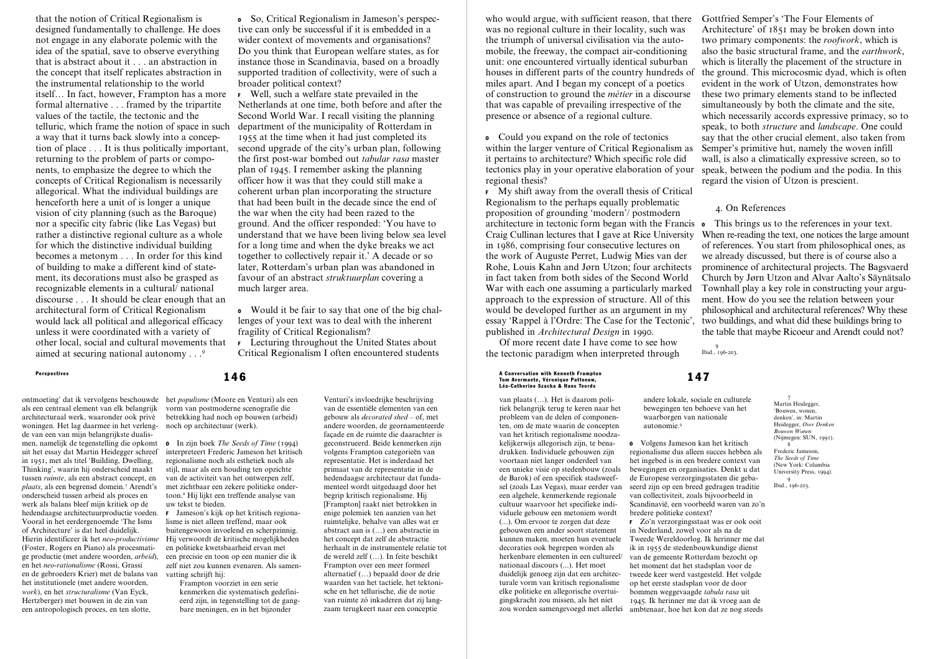that the notion of Critical Regionalism is designed fundamentally to challenge. He does not engage in any elaborate polemic with the idea of the spatial, save to observe everything that is abstract about it . . . an abstraction in the concept that itself replicates abstraction in the instrumental relationship to the world itself… In fact, however, Frampton has a more formal alternative . . . framed by the tripartite values of the tactile, the tectonic and the telluric, which frame the notion of space in such a way that it turns back slowly into a conception of place . . . It is thus politically important, returning to the problem of parts or components, to emphasize the degree to which the concepts of Critical Regionalism is necessarily allegorical. What the individual buildings are henceforth here a unit of is longer a unique vision of city planning (such as the Baroque) nor a specific city fabric (like Las Vegas) but rather a distinctive regional culture as a whole for which the distinctive individual building becomes a metonym . . . In order for this kind of building to make a different kind of statement, its decorations must also be grasped as recognizable elements in a cultural/ national discourse . . . It should be clear enough that an architectural form of Critical Regionalism would lack all political and allegorical efficacy unless it were coordinated with a variety of other local, social and cultural movements that aimed at securing national autonomy . . .9

ontmoeting' dat ik vervolgens beschouwde het *populisme* (Moore en Venturi) als een als een centraal element van elk belangrijk architecturaal werk, waaronder ook privé woningen. Het lag daarmee in het verlengde van een van mijn belangrijkste dualismen, namelijk de tegenstelling die opkomt O In zijn boek *The Seeds of Time* (1994) uit het essay dat Martin Heidegger schreef in 1951, met als titel 'Building, Dwelling, Thinking', waarin hij onderscheid maakt tussen *ruimte*, als een abstract concept, en *plaats*, als een begrensd domein.7 Arendt's onderscheid tussen arbeid als proces en werk als balans bleef mijn kritiek op de hedendaagse architectuurproductie voeden. F Jameson's kijk op het kritisch regiona-Vooral in het eerdergenoemde 'The Isms of Architecture' is dat heel duidelijk. Hierin identificeer ik het *neo-productivisme* Hij verwoordt de kritische mogelijkheden (Foster, Rogers en Piano) als procesmatige productie (met andere woorden, *arbeid*), en het *neo-rationalisme* (Rossi, Grassi en de gebroeders Krier) met de balans van vatting schrijft hij: het institutionele (met andere woorden, *work*), en het *structuralisme* (Van Eyck, Hertzberger) met bouwen in de zin van een antropologisch proces, en ten slotte,

<sup>O</sup> So, Critical Regionalism in Jameson's perspective can only be successful if it is embedded in a wider context of movements and organisations? Do you think that European welfare states, as for instance those in Scandinavia, based on a broadly supported tradition of collectivity, were of such a broader political context?

<sup>F</sup> Well, such a welfare state prevailed in the Netherlands at one time, both before and after the Second World War. I recall visiting the planning department of the municipality of Rotterdam in 1955 at the time when it had just completed its second upgrade of the city's urban plan, following the first post-war bombed out *tabular rasa* master plan of 1945. I remember asking the planning officer how it was that they could still make a coherent urban plan incorporating the structure that had been built in the decade since the end of the war when the city had been razed to the ground. And the officer responded: 'You have to understand that we have been living below sea level for a long time and when the dyke breaks we act together to collectively repair it.' A decade or so later, Rotterdam's urban plan was abandoned in favour of an abstract *struktuurplan* covering a much larger area.

<sup>O</sup> Would it be fair to say that one of the big challenges of your text was to deal with the inherent fragility of Critical Regionalism?

<sup>F</sup> Lecturing throughout the United States about Critical Regionalism I often encountered students

vorm van postmoderne scenografie die betrekking had noch op bouwen (arbeid) noch op architectuur (werk).

interpreteert Frederic Jameson het kritisch regionalisme noch als esthetiek noch als stijl, maar als een houding ten opzichte van de activiteit van het ontwerpen zelf, met zichtbaar een zekere politieke ondertoon.8 Hij lijkt een treffende analyse van uw tekst te bieden.

lisme is niet alleen treffend, maar ook buitengewoon invoelend en scherpzinnig. en politieke kwetsbaarheid ervan met een precisie en toon op een manier die ik zelf niet zou kunnen evenaren. Als samen-

Frampton voorziet in een serie kenmerken die systematisch gedefinieerd zijn, in tegenstelling tot de gangbare meningen, en in het bijzonder

Venturi's invloedrijke beschrijving van de essentiële elementen van een gebouw als *decorated shed* – of, met andere woorden, de geornamenteerde façade en de ruimte die daarachter is geconstrueerd. Beide kenmerken zijn volgens Frampton categorieën van representatie. Het is inderdaad het primaat van de representatie in de hedendaagse architectuur dat fundamenteel wordt uitgedaagd door het begrip kritisch regionalisme. Hij [Frampton] raakt niet betrokken in enige polemiek ten aanzien van het ruimtelijke, behalve van alles wat er abstract aan is (…) een abstractie in het concept dat zelf de abstractie herhaalt in de instrumentele relatie tot de wereld zelf (…). In feite beschikt Frampton over een meer formeel alternatief (…) bepaald door de drie waarden van het tactiele, het tektonische en het tellurische, die de notie van ruimte zó inkaderen dat zij langzaam terugkeert naar een conceptie

who would argue, with sufficient reason, that there was no regional culture in their locality, such was the triumph of universal civilisation via the automobile, the freeway, the compact air-conditioning unit: one encountered virtually identical suburban houses in different parts of the country hundreds of miles apart. And I began my concept of a poetics of construction to ground the *métier* in a discourse that was capable of prevailing irrespective of the presence or absence of a regional culture.

<sup>O</sup> Could you expand on the role of tectonics within the larger venture of Critical Regionalism as it pertains to architecture? Which specific role did tectonics play in your operative elaboration of your regional thesis?

<sup>F</sup> My shift away from the overall thesis of Critical Regionalism to the perhaps equally problematic proposition of grounding 'modern'/ postmodern architecture in tectonic form began with the Francis • This brings us to the references in your text. Craig Cullinan lectures that I gave at Rice University in 1986, comprising four consecutive lectures on the work of Auguste Perret, Ludwig Mies van der Rohe, Louis Kahn and Jørn Utzon; four architects in fact taken from both sides of the Second World War with each one assuming a particularly marked approach to the expression of structure. All of this would be developed further as an argument in my essay 'Rappel à l'Ordre: The Case for the Tectonic', two buildings, and what did these buildings bring to published in *Architectural Design* in 1990.

Of more recent date I have come to see how the tectonic paradigm when interpreted through

#### Perspectives and the conversation with Kenneth Frampton and the supercrives and  ${\bf 147}$  and  ${\bf 147}$   ${\bf 147}$ Tom Avermaete, Véronique Patteeuw, Léa-Catherine Szacka & Hans Teerds

van plaats (…). Het is daarom politiek belangrijk terug te keren naar het probleem van de delen of componenten, om de mate waarin de concepten van het kritisch regionalisme noodzakelijkerwijs allegorisch zijn, te benadrukken. Individuele gebouwen zijn voortaan niet langer onderdeel van een unieke visie op stedenbouw (zoals de Barok) of een specifiek stadsweefsel (zoals Las Vegas), maar eerder van een algehele, kenmerkende regionale cultuur waarvoor het specifieke individuele gebouw een metoniem wordt (...). Om ervoor te zorgen dat deze gebouwen een ander soort statement kunnen maken, moeten hun eventuele decoraties ook begrepen worden als herkenbare elementen in een cultureel/ nationaal discours (...). Het moet duidelijk genoeg zijn dat een architecturale vorm van kritisch regionalisme elke politieke en allegorische overtuigingskracht zou missen, als het niet zou worden samengevoegd met allerlei Gottfried Semper's 'The Four Elements of Architecture' of 1851 may be broken down into two primary components: the *roofwork*, which is also the basic structural frame, and the *earthwork*, which is literally the placement of the structure in the ground. This microcosmic dyad, which is often evident in the work of Utzon, demonstrates how these two primary elements stand to be inflected simultaneously by both the climate and the site, which necessarily accords expressive primacy, so to speak, to both *structure* and *landscape*. One could say that the other crucial element, also taken from Semper's primitive hut, namely the woven infill wall, is also a climatically expressive screen, so to speak, between the podium and the podia. In this regard the vision of Utzon is prescient.

# 4. On References

When re-reading the text, one notices the large amount of references. You start from philosophical ones, as we already discussed, but there is of course also a prominence of architectural projects. The Bagsvaerd Church by Jørn Utzon and Alvar Aalto's Säynätsalo Townhall play a key role in constructing your argument. How do you see the relation between your philosophical and architectural references? Why these the table that maybe Ricoeur and Arendt could not?

Ibid., 196-203.

waarborgen van nationale

O Volgens Jameson kan het kritisch

autonomie.9

7 Martin Heidegger, 'Bouwen, wonen, denken', in: Martin Heidegger, *Over Denken Bouwen Wonen* (Nijmegen: SUN, 1991). andere lokale, sociale en culturele bewegingen ten behoeve van het

> 8 Frederic Jameson, *The Seeds of Time* (New York: Columbia University Press, 1994).

9 Ibid., 196-203.

regionalisme dus alleen succes hebben als het ingebed is in een bredere context van bewegingen en organisaties. Denkt u dat de Europese verzorgingsstaten die gebaseerd zijn op een breed gedragen traditie van collectiviteit, zoals bijvoorbeeld in Scandinavië, een voorbeeld waren van zo'n bredere politieke context? F Zo'n verzorgingsstaat was er ook ooit in Nederland, zowel voor als na de Tweede Wereldoorlog. Ik herinner me dat ik in 1955 de stedenbouwkundige dienst van de gemeente Rotterdam bezocht op het moment dat het stadsplan voor de tweede keer werd vastgesteld. Het volgde op het eerste stadsplan voor de door bommen weggevaagde *tabula rasa* uit 1945. Ik herinner me dat ik vroeg aan de ambtenaar, hoe het kon dat ze nog steeds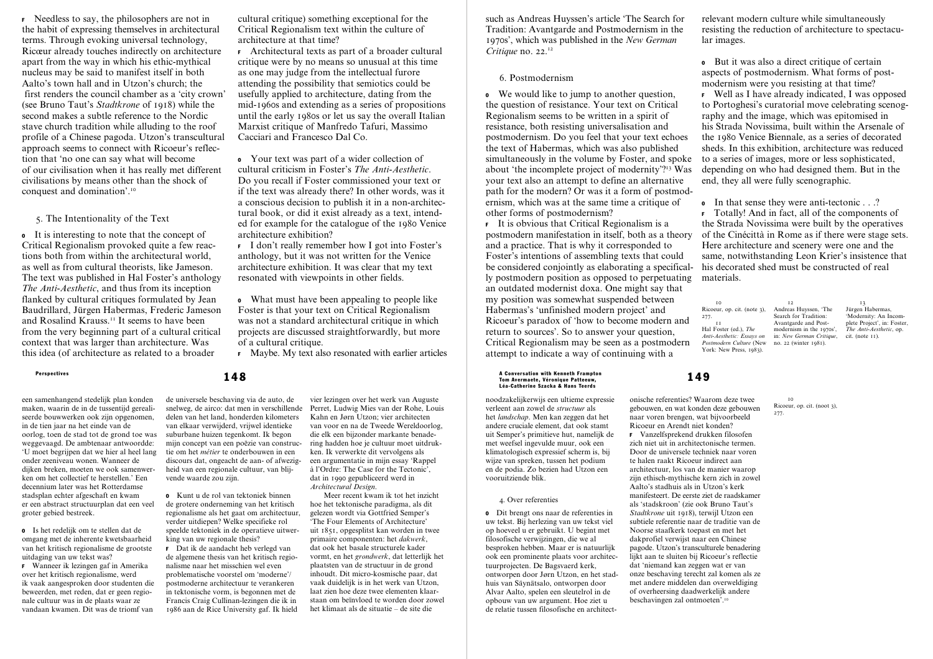<sup>F</sup> Needless to say, the philosophers are not in the habit of expressing themselves in architectural terms. Through evoking universal technology, Ricœur already touches indirectly on architecture apart from the way in which his ethic-mythical nucleus may be said to manifest itself in both Aalto's town hall and in Utzon's church; the first renders the council chamber as a 'city crown' (see Bruno Taut's *Stadtkrone* of 1918) while the second makes a subtle reference to the Nordic stave church tradition while alluding to the roof profile of a Chinese pagoda. Utzon's transcultural approach seems to connect with Ricoeur's reflection that 'no one can say what will become of our civilisation when it has really met different civilisations by means other than the shock of conquest and domination'.10

# 5. The Intentionality of the Text

<sup>O</sup> It is interesting to note that the concept of Critical Regionalism provoked quite a few reactions both from within the architectural world, as well as from cultural theorists, like Jameson. The text was published in Hal Foster's anthology *The Anti-Aesthetic*, and thus from its inception flanked by cultural critiques formulated by Jean Baudrillard, Jürgen Habermas, Frederic Jameson and Rosalind Krauss.11 It seems to have been from the very beginning part of a cultural critical context that was larger than architecture. Was this idea (of architecture as related to a broader

een samenhangend stedelijk plan konden maken, waarin de in de tussentijd gerealiseerde bouwwerken ook zijn opgenomen, in de tien jaar na het einde van de oorlog, toen de stad tot de grond toe was weggevaagd. De ambtenaar antwoordde: 'U moet begrijpen dat we hier al heel lang onder zeeniveau wonen. Wanneer de dijken breken, moeten we ook samenwerken om het collectief te herstellen.' Een decennium later was het Rotterdamse stadsplan echter afgeschaft en kwam er een abstract structuurplan dat een veel groter gebied bestreek.

O Is het redelijk om te stellen dat de omgang met de inherente kwetsbaarheid van het kritisch regionalisme de grootste uitdaging van uw tekst was?

F Wanneer ik lezingen gaf in Amerika over het kritisch regionalisme, werd ik vaak aangesproken door studenten die beweerden, met reden, dat er geen regionale cultuur was in de plaats waar ze vandaan kwamen. Dit was de triomf van

cultural critique) something exceptional for the Critical Regionalism text within the culture of architecture at that time?

<sup>F</sup> Architectural texts as part of a broader cultural critique were by no means so unusual at this time as one may judge from the intellectual furore attending the possibility that semiotics could be usefully applied to architecture, dating from the mid-1960s and extending as a series of propositions until the early 1980s or let us say the overall Italian Marxist critique of Manfredo Tafuri, Massimo Cacciari and Francesco Dal Co.

<sup>O</sup> Your text was part of a wider collection of cultural criticism in Foster's *The Anti-Aesthetic*. Do you recall if Foster commissioned your text or if the text was already there? In other words, was it a conscious decision to publish it in a non-architectural book, or did it exist already as a text, intended for example for the catalogue of the 1980 Venice architecture exhibition?

<sup>F</sup> I don't really remember how I got into Foster's anthology, but it was not written for the Venice architecture exhibition. It was clear that my text resonated with viewpoints in other fields.

<sup>O</sup> What must have been appealing to people like Foster is that your text on Critical Regionalism was not a standard architectural critique in which projects are discussed straightforwardly, but more of a cultural critique.

<sup>F</sup> Maybe. My text also resonated with earlier articles

de universele beschaving via de auto, de snelweg, de airco: dat men in verschillende delen van het land, honderden kilometers van elkaar verwijderd, vrijwel identieke suburbane huizen tegenkomt. Ik begon mijn concept van een poëzie van constructie om het *métier* te onderbouwen in een discours dat, ongeacht de aan- of afwezigheid van een regionale cultuur, van blijvende waarde zou zijn.

O Kunt u de rol van tektoniek binnen de grotere onderneming van het kritisch regionalisme als het gaat om architectuur, verder uitdiepen? Welke specifieke rol speelde tektoniek in de operatieve uitwerking van uw regionale thesis? F Dat ik de aandacht heb verlegd van de algemene thesis van het kritisch regionalisme naar het misschien wel even problematische voorstel om 'moderne'/ postmoderne architectuur te verankeren in tektonische vorm, is begonnen met de Francis Craig Cullinan-lezingen die ik in 1986 aan de Rice University gaf. Ik hield

vier lezingen over het werk van Auguste Perret, Ludwig Mies van der Rohe, Louis Kahn en Jørn Utzon; vier architecten van voor en na de Tweede Wereldoorlog, die elk een bijzonder markante benadering hadden hoe je cultuur moet uitdrukken. Ik verwerkte dit vervolgens als een argumentatie in mijn essay 'Rappel à l'Ordre: The Case for the Tectonic', dat in 1990 gepubliceerd werd in *Architectural Design*.

Meer recent kwam ik tot het inzicht hoe het tektonische paradigma, als dit gelezen wordt via Gottfried Semper's 'The Four Elements of Architecture' uit 1851, opgesplitst kan worden in twee primaire componenten: het *dakwerk*, dat ook het basale structurele kader vormt, en het *grondwerk*, dat letterlijk het plaatsten van de structuur in de grond inhoudt. Dit micro-kosmische paar, dat vaak duidelijk is in het werk van Utzon, laat zien hoe deze twee elementen klaarstaan om beïnvloed te worden door zowel het klimaat als de situatie – de site die

such as Andreas Huyssen's article 'The Search for Tradition: Avantgarde and Postmodernism in the 1970s', which was published in the *New German Critique* no. 22.<sup>12</sup>

# 6. Postmodernism

<sup>O</sup> We would like to jump to another question, the question of resistance. Your text on Critical Regionalism seems to be written in a spirit of resistance, both resisting universalisation and postmodernism. Do you feel that your text echoes the text of Habermas, which was also published simultaneously in the volume by Foster, and spoke to a series of images, more or less sophisticated, about 'the incomplete project of modernity'?13 Was your text also an attempt to define an alternative path for the modern? Or was it a form of postmodernism, which was at the same time a critique of other forms of postmodernism?

<sup>F</sup> It is obvious that Critical Regionalism is a postmodern manifestation in itself, both as a theory and a practice. That is why it corresponded to Foster's intentions of assembling texts that could be considered conjointly as elaborating a specifically postmodern position as opposed to perpetuating an outdated modernist doxa. One might say that my position was somewhat suspended between Habermas's 'unfinished modern project' and Ricoeur's paradox of 'how to become modern and return to sources'. So to answer your question, Critical Regionalism may be seen as a postmodern attempt to indicate a way of continuing with a

Perspectives and the conversation with Kenneth Frampton and the supercrives and  ${\bf 148}$  and  ${\bf 149}$ Tom Avermaete, Véronique Patteeuw, Léa-Catherine Szacka & Hans Teerds

> noodzakelijkerwijs een ultieme expressie verleent aan zowel de *structuur* als het *landschap*. Men kan zeggen dat het andere cruciale element, dat ook stamt uit Semper's primitieve hut, namelijk de met weefsel ingevulde muur, ook een klimatologisch expressief scherm is, bij wijze van spreken, tussen het podium en de podia. Zo bezien had Utzon een vooruitziende blik.

# 4. Over referenties

O Dit brengt ons naar de referenties in uw tekst. Bij herlezing van uw tekst viel op hoeveel u er gebruikt. U begint met filosofische verwijzingen, die we al besproken hebben. Maar er is natuurlijk ook een prominente plaats voor architectuurprojecten. De Bagsvaerd kerk, ontworpen door Jørn Utzon, en het stadhuis van Säynätsalo, ontworpen door Alvar Aalto, spelen een sleutelrol in de opbouw van uw argument. Hoe ziet u de relatie tussen filosofische en architectrelevant modern culture while simultaneously resisting the reduction of architecture to spectacular images.

<sup>O</sup> But it was also a direct critique of certain aspects of postmodernism. What forms of postmodernism were you resisting at that time?

<sup>F</sup> Well as I have already indicated, I was opposed to Portoghesi's curatorial move celebrating scenography and the image, which was epitomised in his Strada Novissima, built within the Arsenale of the 1980 Venice Biennale, as a series of decorated sheds. In this exhibition, architecture was reduced depending on who had designed them. But in the end, they all were fully scenographic.

o In that sense they were anti-tectonic . . .?

<sup>F</sup> Totally! And in fact, all of the components of the Strada Novissima were built by the operatives of the Cinécittà in Rome as if there were stage sets. Here architecture and scenery were one and the same, notwithstanding Leon Krier's insistence that his decorated shed must be constructed of real materials.

10 Ricoeur, op. cit. (note 3), 11 Hal Foster (ed.), *The Anti-Aesthetic: Essays on Postmodern Culture* (New York: New Press, 1983). 12 Andreas Huyssen, 'The Search for Tradition: Avantgarde and Postmodernism in the 1970s', in: *New German Critique*, no. 22 (winter 1981).

13 Jürgen Habermas, 'Modernity: An Incomplete Project', in: Foster, *The Anti-Aesthetic*, op. cit. (note 11).

onische referenties? Waarom deze twee gebouwen, en wat konden deze gebouwen naar voren brengen, wat bijvoorbeeld Ricoeur en Arendt niet konden? F Vanzelfsprekend drukken filosofen zich niet uit in architectonische termen. Door de universele techniek naar voren te halen raakt Ricoeur indirect aan architectuur, los van de manier waarop zijn ethisch-mythische kern zich in zowel Aalto's stadhuis als in Utzon's kerk manifesteert. De eerste ziet de raadskamer als 'stadskroon' (zie ook Bruno Taut's *Stadtkrone* uit 1918), terwijl Utzon een subtiele referentie naar de traditie van de Noorse staafkerk toepast en met het dakprofiel verwijst naar een Chinese pagode. Utzon's transculturele benadering lijkt aan te sluiten bij Ricoeur's reflectie dat 'niemand kan zeggen wat er van onze beschaving terecht zal komen als ze met andere middelen dan overweldiging of overheersing daadwerkelijk andere beschavingen zal ontmoeten'.10

277.

10 Ricoeur, op. cit. (noot 3), 277.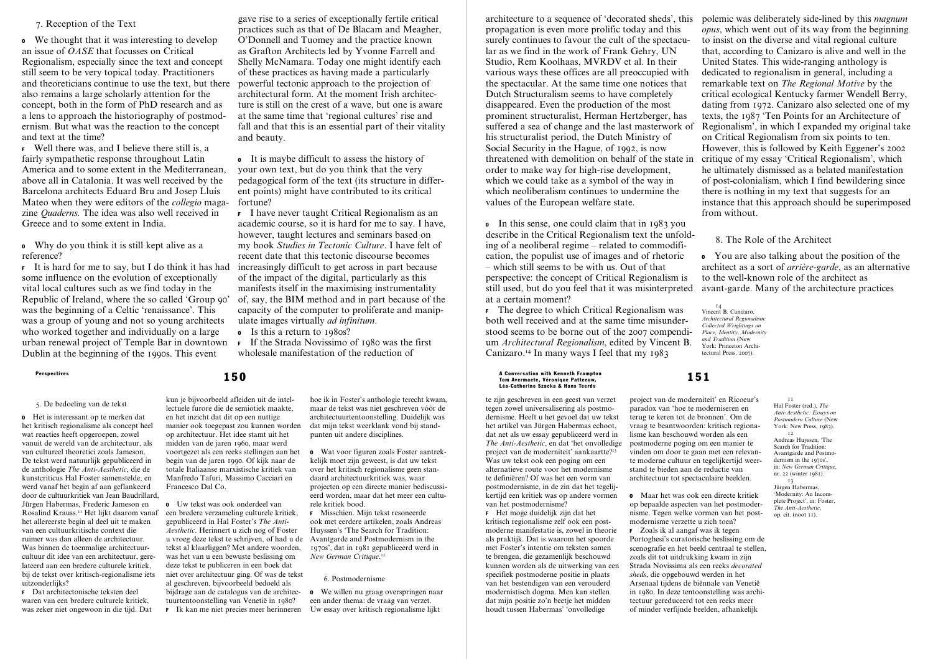# 7. Reception of the Text

<sup>O</sup> We thought that it was interesting to develop an issue of *OASE* that focusses on Critical Regionalism, especially since the text and concept still seem to be very topical today. Practitioners and theoreticians continue to use the text, but there also remains a large scholarly attention for the concept, both in the form of PhD research and as a lens to approach the historiography of postmodernism. But what was the reaction to the concept and text at the time?

<sup>F</sup> Well there was, and I believe there still is, a fairly sympathetic response throughout Latin America and to some extent in the Mediterranean, above all in Catalonia. It was well received by the Barcelona architects Eduard Bru and Josep Lluís Mateo when they were editors of the *collegio* magazine *Quaderns.* The idea was also well received in Greece and to some extent in India.

# <sup>O</sup> Why do you think it is still kept alive as a reference?

<sup>F</sup> It is hard for me to say, but I do think it has had some influence on the evolution of exceptionally vital local cultures such as we find today in the Republic of Ireland, where the so called 'Group 90' was the beginning of a Celtic 'renaissance'. This was a group of young and not so young architects who worked together and individually on a large urban renewal project of Temple Bar in downtown Dublin at the beginning of the 1990s. This event

5. De bedoeling van de tekst

O Het is interessant op te merken dat het kritisch regionalisme als concept heel wat reacties heeft opgeroepen, zowel vanuit de wereld van de architectuur, als van cultureel theoretici zoals Jameson. De tekst werd natuurlijk gepubliceerd in de anthologie *The Anti-Aesthetic*, die de kunstcriticus Hal Foster samenstelde, en werd vanaf het begin af aan geflankeerd door de cultuurkritiek van Jean Baudrillard, Jürgen Habermas, Frederic Jameson en Rosalind Krauss.11 Het lijkt daarom vanaf het allereerste begin al deel uit te maken van een cultuurkritische context die ruimer was dan alleen de architectuur. Was binnen de toenmalige architectuurcultuur dit idee van een architectuur, gerelateerd aan een bredere culturele kritiek, bij de tekst over kritisch-regionalisme iets uitzonderlijks?

F Dat architectonische teksten deel waren van een bredere culturele kritiek, was zeker niet ongewoon in die tijd. Dat

and beauty.

fortune?

kun je bijvoorbeeld afleiden uit de intellectuele furore die de semiotiek maakte, en het inzicht dat dit op een nuttige manier ook toegepast zou kunnen worden op architectuur. Het idee stamt uit het midden van de jaren 1960, maar werd voortgezet als een reeks stellingen aan het begin van de jaren 1990. Of kijk naar de totale Italiaanse marxistische kritiek van Manfredo Tafuri, Massimo Cacciari en Francesco Dal Co.

O Uw tekst was ook onderdeel van een bredere verzameling culturele kritiek, gepubliceerd in Hal Foster's *The Anti-Aesthetic*. Herinnert u zich nog of Foster u vroeg deze tekst te schrijven, of had u de tekst al klaarliggen? Met andere woorden, was het van u een bewuste beslissing om deze tekst te publiceren in een boek dat niet over architectuur ging. Of was de tekst al geschreven, bijvoorbeeld bedoeld als tuurtentoonstelling van Venetië in 1980? F Ik kan me niet precies meer herinneren

hoe ik in Foster's anthologie terecht kwam, maar de tekst was niet geschreven vóór de architectuurtentoonstelling. Duidelijk was dat mijn tekst weerklank vond bij standpunten uit andere disciplines.

gave rise to a series of exceptionally fertile critical practices such as that of De Blacam and Meagher, O'Donnell and Tuomey and the practice known as Grafton Architects led by Yvonne Farrell and Shelly McNamara. Today one might identify each of these practices as having made a particularly powerful tectonic approach to the projection of architectural form. At the moment Irish architecture is still on the crest of a wave, but one is aware at the same time that 'regional cultures' rise and fall and that this is an essential part of their vitality

<sup>O</sup> It is maybe difficult to assess the history of your own text, but do you think that the very pedagogical form of the text (its structure in different points) might have contributed to its critical

<sup>F</sup> I have never taught Critical Regionalism as an academic course, so it is hard for me to say. I have, however, taught lectures and seminars based on my book *Studies in Tectonic Culture*. I have felt of recent date that this tectonic discourse becomes increasingly difficult to get across in part because of the impact of the digital, particularly as this manifests itself in the maximising instrumentality of, say, the BIM method and in part because of the capacity of the computer to proliferate and manip-

<sup>F</sup> If the Strada Novissimo of 1980 was the first wholesale manifestation of the reduction of

ulate images virtually *ad infinitum*. o Is this a return to 1980s?

- O Wat voor figuren zoals Foster aantrekkelijk moet zijn geweest, is dat uw tekst over het kritisch regionalisme geen standaard architectuurkritiek was, waar projecten op een directe manier bediscussieerd worden, maar dat het meer een culturele kritiek bood.
- F Misschien. Mijn tekst resoneerde ook met eerdere artikelen, zoals Andreas Huyssen's 'The Search for Tradition: Avantgarde and Postmodernism in the 1970s', dat in 1981 gepubliceerd werd in *New German Critique*. 12

### 6. Postmodernisme

bijdrage aan de catalogus van de architec-O We willen nu graag overspringen naar een ander thema: de vraag van verzet. Uw essay over kritisch regionalisme lijkt

architecture to a sequence of 'decorated sheds', this propagation is even more prolific today and this surely continues to favour the cult of the spectacular as we find in the work of Frank Gehry, UN Studio, Rem Koolhaas, MVRDV et al. In their various ways these offices are all preoccupied with the spectacular. At the same time one notices that Dutch Structuralism seems to have completely disappeared. Even the production of the most prominent structuralist, Herman Hertzberger, has suffered a sea of change and the last masterwork of his structuralist period, the Dutch Ministry of Social Security in the Hague, of 1992, is now threatened with demolition on behalf of the state in order to make way for high-rise development, which we could take as a symbol of the way in which neoliberalism continues to undermine the values of the European welfare state.

<sup>O</sup> In this sense, one could claim that in 1983 you describe in the Critical Regionalism text the unfolding of a neoliberal regime – related to commodification, the populist use of images and of rhetoric – which still seems to be with us. Out of that perspective: the concept of Critical Regionalism is still used, but do you feel that it was misinterpreted at a certain moment?

<sup>F</sup> The degree to which Critical Regionalism was both well received and at the same time misunderstood seems to be borne out of the 2007 compendium *Architectural Regionalism*, edited by Vincent B. Canizaro.14 In many ways I feel that my 1983

#### Perspectives and the conversation with Kenneth Frampton and the supercrises  ${\bf 151}$ Tom Avermaete, Véronique Patteeuw, Léa-Catherine Szacka & Hans Teerds

te zijn geschreven in een geest van verzet tegen zowel universalisering als postmodernisme. Heeft u het gevoel dat uw tekst het artikel van Jürgen Habermas echoot, dat net als uw essay gepubliceerd werd in *The Anti-Aesthetic*, en dat 'het onvolledige project van de moderniteit' aankaartte?13 Was uw tekst ook een poging om een alternatieve route voor het modernisme te definiëren? Of was het een vorm van postmodernisme, in de zin dat het tegelijkertijd een kritiek was op andere vormen van het postmodernisme?

F Het moge duidelijk zijn dat het kritisch regionalisme zelf ook een postmoderne manifestatie is, zowel in theorie als praktijk. Dat is waarom het spoorde met Foster's intentie om teksten samen te brengen, die gezamenlijk beschouwd kunnen worden als de uitwerking van een specifiek postmoderne positie in plaats van het bestendigen van een verouderd modernistisch dogma. Men kan stellen dat mijn positie zo'n beetje het midden houdt tussen Habermas' 'onvolledige

polemic was deliberately side-lined by this *magnum opus*, which went out of its way from the beginning to insist on the diverse and vital regional culture that, according to Canizaro is alive and well in the United States. This wide-ranging anthology is dedicated to regionalism in general, including a remarkable text on *The Regional Motive* by the critical ecological Kentucky farmer Wendell Berry, dating from 1972. Canizaro also selected one of my texts, the 1987 'Ten Points for an Architecture of Regionalism', in which I expanded my original take on Critical Regionalism from six points to ten. However, this is followed by Keith Eggener's 2002 critique of my essay 'Critical Regionalism', which he ultimately dismissed as a belated manifestation of post-colonialism, which I find bewildering since there is nothing in my text that suggests for an instance that this approach should be superimposed from without.

# 8. The Role of the Architect

<sup>O</sup> You are also talking about the position of the architect as a sort of *arrière-garde*, as an alternative to the well-known role of the architect as avant-garde. Many of the architecture practices

14 Vincent B. Canizaro, *Architectural Regionalism: Collected Wrightings on Place, Identity, Modernity and Tradition* (New York: Princeton Architectural Press, 2007).

> 11 Hal Foster (red.), *The Anti-Aesthetic: Essays on Postmodern Culture* (New York: New Press, 1983). 12 Andreas Huyssen, 'The Search for Tradition: Avantgarde and Postmo-

dernism in the 1970s', in: *New German Critique*, nr. 22 (winter 1981). 13 Jürgen Habermas,

'Modernity: An Incomplete Project', in: Foster, *The Anti-Aesthetic*, op. cit. (noot 11).

# project van de moderniteit' en Ricoeur's paradox van 'hoe te moderniseren en terug te keren tot de bronnen'. Om de vraag te beantwoorden: kritisch regiona-

lisme kan beschouwd worden als een postmoderne poging om een manier te vinden om door te gaan met een relevante moderne cultuur en tegelijkertijd weerstand te bieden aan de reductie van architectuur tot spectaculaire beelden.

O Maar het was ook een directe kritiek op bepaalde aspecten van het postmodernisme. Tegen welke vormen van het postmodernisme verzette u zich toen? F Zoals ik al aangaf was ik tegen Portoghesi's curatorische beslissing om de scenografie en het beeld centraal te stellen, zoals dit tot uitdrukking kwam in zijn Strada Novissima als een reeks *decorated sheds*, die opgebouwd werden in het Arsenaal tijdens de biënnale van Venetië in 1980. In deze tentoonstelling was architectuur gereduceerd tot een reeks meer of minder verfijnde beelden, afhankelijk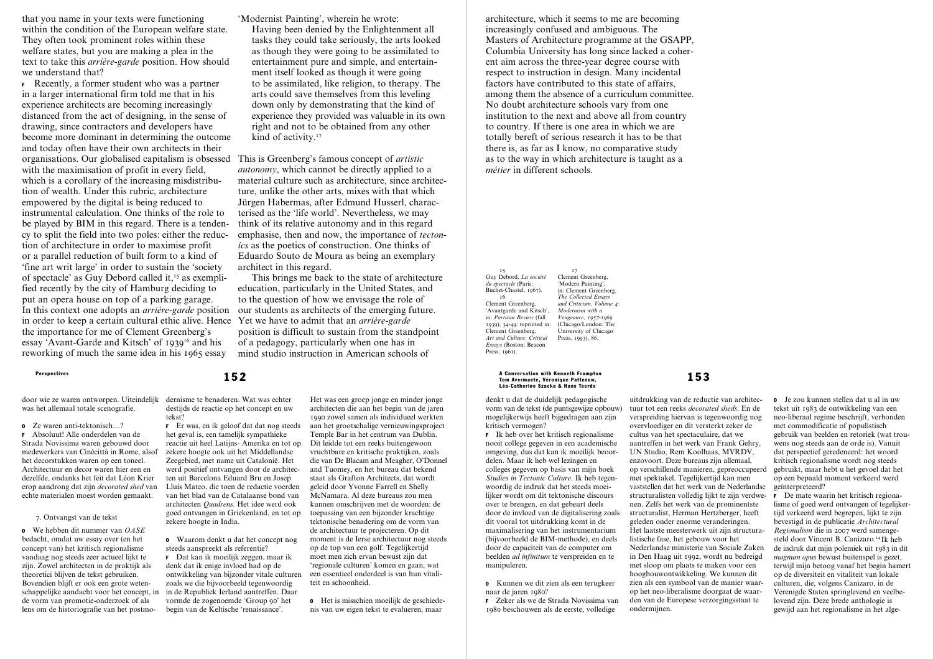that you name in your texts were functioning within the condition of the European welfare state. They often took prominent roles within these welfare states, but you are making a plea in the text to take this *arrière-garde* position. How should we understand that?

<sup>F</sup> Recently, a former student who was a partner in a larger international firm told me that in his experience architects are becoming increasingly distanced from the act of designing, in the sense of drawing, since contractors and developers have become more dominant in determining the outcome and today often have their own architects in their organisations. Our globalised capitalism is obsessed This is Greenberg's famous concept of *artistic*  with the maximisation of profit in every field, which is a corollary of the increasing misdistribution of wealth. Under this rubric, architecture empowered by the digital is being reduced to instrumental calculation. One thinks of the role to be played by BIM in this regard. There is a tendency to split the field into two poles: either the reduction of architecture in order to maximise profit or a parallel reduction of built form to a kind of 'fine art writ large' in order to sustain the 'society of spectacle' as Guy Debord called it,15 as exemplified recently by the city of Hamburg deciding to put an opera house on top of a parking garage. In this context one adopts an *arrière-garde* position in order to keep a certain cultural ethic alive. Hence Yet we have to admit that an *arrière-garde*  the importance for me of Clement Greenberg's essay 'Avant-Garde and Kitsch' of 193916 and his reworking of much the same idea in his 1965 essay

door wie ze waren ontworpen. Uiteindelijk was het allemaal totale scenografie. O Ze waren anti-tektonisch…? F Absoluut! Alle onderdelen van de Strada Novissima waren gebouwd door medewerkers van Cinécittà in Rome, alsof het decorstukken waren op een toneel. Architectuur en decor waren hier een en dezelfde, ondanks het feit dat Léon Krier erop aandrong dat zijn *decorated shed* van echte materialen moest worden gemaakt.

7. Ontvangst van de tekst O We hebben dit nummer van *OASE* bedacht, omdat uw essay over (en het concept van) het kritisch regionalisme vandaag nog steeds zeer actueel lijkt te zijn. Zowel architecten in de praktijk als theoretici blijven de tekst gebruiken. Bovendien blijft er ook een grote wetenschappelijke aandacht voor het concept, in de vorm van promotie-onderzoek of als lens om de historiografie van het postmo'Modernist Painting', wherein he wrote: Having been denied by the Enlightenment all tasks they could take seriously, the arts looked as though they were going to be assimilated to entertainment pure and simple, and entertainment itself looked as though it were going to be assimilated, like religion, to therapy. The arts could save themselves from this leveling down only by demonstrating that the kind of experience they provided was valuable in its own right and not to be obtained from any other kind of activity.<sup>17</sup>

*autonomy*, which cannot be directly applied to a material culture such as architecture, since architecture, unlike the other arts, mixes with that which Jürgen Habermas, after Edmund Husserl, characterised as the 'life world'. Nevertheless, we may think of its relative autonomy and in this regard emphasise, then and now, the importance of *tectonics* as the poetics of construction. One thinks of Eduardo Souto de Moura as being an exemplary architect in this regard.

This brings me back to the state of architecture education, particularly in the United States, and to the question of how we envisage the role of our students as architects of the emerging future. position is difficult to sustain from the standpoint of a pedagogy, particularly when one has in mind studio instruction in American schools of

destijds de reactie op het concept en uw tekst? F Er was, en ik geloof dat dat nog steeds

dernisme te benaderen. Wat was echter

het geval is, een tamelijk sympathieke reactie uit heel Latijns- Amerika en tot op zekere hoogte ook uit het Middellandse Zeegebied, met name uit Catalonië. Het werd positief ontvangen door de architecten uit Barcelona Eduard Bru en Josep Lluís Mateo, die toen de redactie voerden van het blad van de Catalaanse bond van architecten *Quadrens*. Het idee werd ook goed ontvangen in Griekenland, en tot op zekere hoogte in India.

O Waarom denkt u dat het concept nog steeds aanspreekt als referentie? F Dat kan ik moeilijk zeggen, maar ik denk dat ik enige invloed had op de ontwikkeling van bijzonder vitale culturen zoals we die bijvoorbeeld tegenwoordig in de Republiek Ierland aantreffen. Daar vormde de zogenoemde 'Group 90' het begin van de Keltische 'renaissance'.

Het was een groep jonge en minder jonge architecten die aan het begin van de jaren 1990 zowel samen als individueel werkten aan het grootschalige vernieuwingsproject Temple Bar in het centrum van Dublin. Dit leidde tot een reeks buitengewoon vruchtbare en kritische praktijken, zoals die van De Blacam and Meagher, O'Donnel and Tuomey, en het bureau dat bekend staat als Grafton Architects, dat wordt geleid door Yvonne Farrell en Shelly McNamara. Al deze bureaus zou men kunnen omschrijven met de woorden: de toepassing van een bijzonder krachtige tektonische benadering om de vorm van de architectuur te projecteren. Op dit moment is de Ierse architectuur nog steeds op de top van een golf. Tegelijkertijd moet men zich ervan bewust zijn dat 'regionale culturen' komen en gaan, wat een essentieel onderdeel is van hun vitaliteit en schoonheid.

O Het is misschien moeilijk de geschiedenis van uw eigen tekst te evalueren, maar

architecture, which it seems to me are becoming increasingly confused and ambiguous. The Masters of Architecture programme at the GSAPP, Columbia University has long since lacked a coherent aim across the three-year degree course with respect to instruction in design. Many incidental factors have contributed to this state of affairs, among them the absence of a curriculum committee. No doubt architecture schools vary from one institution to the next and above all from country to country. If there is one area in which we are totally bereft of serious research it has to be that there is, as far as I know, no comparative study as to the way in which architecture is taught as a *métier* in different schools.

15 Guy Debord, *La société du spectacle* (Paris: Buchet-Chastel, 1967). 16 Clement Greenberg, 'Avantgarde and Kitsch', in: *Partisan Review* (fall 1939), 34-49; reprinted in: Clement Greenberg, *Art and Culture: Critical Essays* (Boston: Beacon Press, 1961). 17 Clement Greenberg, 'Modern Painting', in: Clement Greenberg, *The Collected Essays and Criticism, Volume 4: Modernism with a Vengeance, 1957-1969* (Chicago/London: The University of Chicago Press, 1993), 86.

Perspectives and the conversation with Kenneth Frampton and the supercrises  ${\bf 153}$  and  ${\bf 153}$ Tom Avermaete, Véronique Patteeuw, Léa-Catherine Szacka & Hans Teerds

> denkt u dat de duidelijk pedagogische vorm van de tekst (de puntsgewijze opbouw) mogelijkerwijs heeft bijgedragen aan zijn kritisch vermogen?

> F Ik heb over het kritisch regionalisme nooit college gegeven in een academische omgeving, dus dat kan ik moeilijk beoordelen. Maar ik heb wel lezingen en colleges gegeven op basis van mijn boek *Studies in Tectonic Culture*. Ik heb tegenwoordig de indruk dat het steeds moeilijker wordt om dit tektonische discours over te brengen, en dat gebeurt deels door de invloed van de digitalisering zoals dit vooral tot uitdrukking komt in de maximalisering van het instrumentarium (bijvoorbeeld de BIM-methode), en deels door de capaciteit van de computer om beelden *ad infinitum* te verspreiden en te manipuleren.

O Kunnen we dit zien als een terugkeer naar de jaren 1980?

F Zeker als we de Strada Novissima van 1980 beschouwen als de eerste, volledige

uitdrukking van de reductie van architectuur tot een reeks *decorated sheds*. En de verspreiding hiervan is tegenwoordig nog overvloediger en dit versterkt zeker de cultus van het spectaculaire, dat we aantreffen in het werk van Frank Gehry, UN Studio, Rem Koolhaas, MVRDV, enzovoort. Deze bureaus zijn allemaal, op verschillende manieren, gepreoccupeerd met spektakel. Tegelijkertijd kan men vaststellen dat het werk van de Nederlandse structuralisten volledig lijkt te zijn verdwenen. Zelfs het werk van de prominentste structuralist, Herman Hertzberger, heeft geleden onder enorme veranderingen. Het laatste meesterwerk uit zijn structuralistische fase, het gebouw voor het Nederlandse ministerie van Sociale Zaken in Den Haag uit 1992, wordt nu bedreigd met sloop om plaats te maken voor een hoogbouwontwikkeling. We kunnen dit zien als een symbool van de manier waarop het neo-liberalisme doorgaat de waarden van de Europese verzorgingsstaat te ondermijnen.

O Je zou kunnen stellen dat u al in uw tekst uit 1983 de ontwikkeling van een neo-liberaal regime beschrijft, verbonden met commodificatie of populistisch gebruik van beelden en retoriek (wat trouwens nog steeds aan de orde is). Vanuit dat perspectief geredeneerd: het woord kritisch regionalisme wordt nog steeds gebruikt, maar hebt u het gevoel dat het op een bepaald moment verkeerd werd geïnterpreteerd?

F De mate waarin het kritisch regionalisme of goed werd ontvangen of tegelijkertijd verkeerd werd begrepen, lijkt te zijn bevestigd in de publicatie *Architectural Regionalism* die in 2007 werd samengesteld door Vincent B. Canizaro.<sup>14</sup> Ik heb de indruk dat mijn polemiek uit 1983 in dit *magnum opus* bewust buitenspel is gezet, terwijl mijn betoog vanaf het begin hamert op de diversiteit en vitaliteit van lokale culturen, die, volgens Canizaro, in de Verenigde Staten springlevend en veelbelovend zijn. Deze brede anthologie is gewijd aan het regionalisme in het alge-